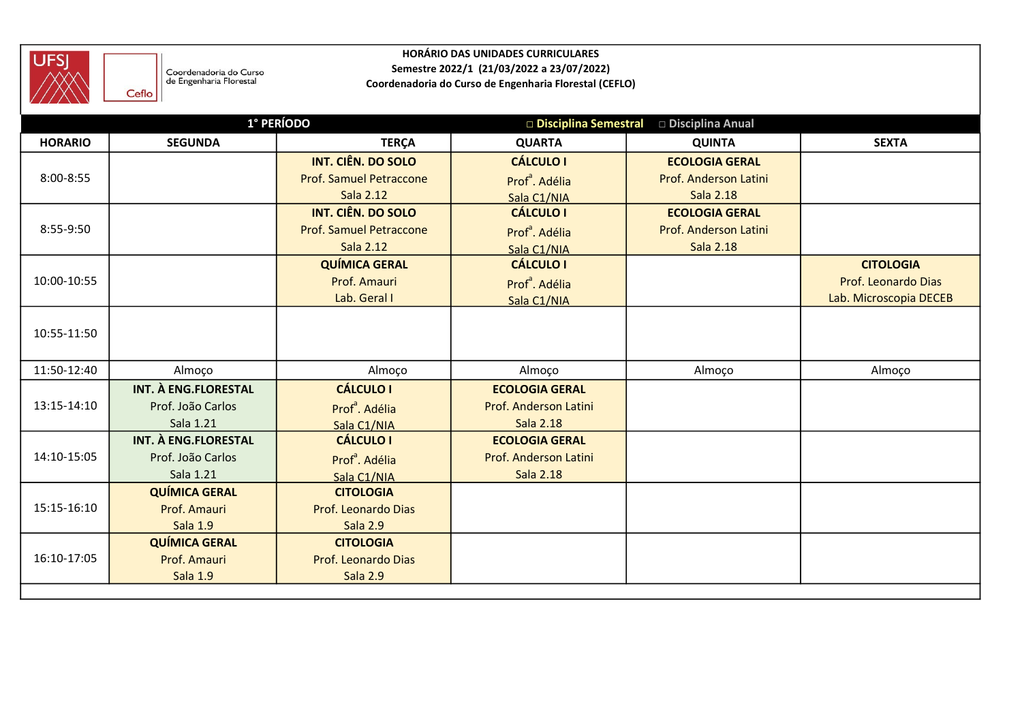

|                |                                                   |                                 | <b>HORÁRIO DAS UNIDADES CURRICULARES</b>               |                                       |                        |
|----------------|---------------------------------------------------|---------------------------------|--------------------------------------------------------|---------------------------------------|------------------------|
| UFSJ<br>AX     | Coordenadoria do Curso<br>de Engenharia Florestal |                                 | Semestre 2022/1 (21/03/2022 a 23/07/2022)              |                                       |                        |
|                | Ceflo                                             |                                 | Coordenadoria do Curso de Engenharia Florestal (CEFLO) |                                       |                        |
|                |                                                   | 1° PERÍODO                      |                                                        | Disciplina Semestral Disciplina Anual |                        |
| <b>HORARIO</b> | <b>SEGUNDA</b>                                    | <b>TERÇA</b>                    | <b>QUARTA</b>                                          | <b>QUINTA</b>                         | <b>SEXTA</b>           |
|                |                                                   | <b>INT. CIÊN. DO SOLO</b>       | <b>CÁLCULO I</b>                                       | <b>ECOLOGIA GERAL</b>                 |                        |
| 8:00-8:55      |                                                   | Prof. Samuel Petraccone         | Prof <sup>ª</sup> . Adélia                             | Prof. Anderson Latini                 |                        |
|                |                                                   | Sala 2.12                       | Sala C1/NIA                                            | Sala 2.18                             |                        |
|                |                                                   | <b>INT. CIÊN. DO SOLO</b>       | <b>CÁLCULO I</b>                                       | <b>ECOLOGIA GERAL</b>                 |                        |
| 8:55-9:50      |                                                   | Prof. Samuel Petraccone         | Prof <sup>ª</sup> . Adélia                             | Prof. Anderson Latini                 |                        |
|                |                                                   | Sala 2.12                       | Sala C1/NIA                                            | Sala 2.18                             |                        |
|                |                                                   | <b>QUÍMICA GERAL</b>            | <b>CÁLCULO I</b>                                       |                                       | <b>CITOLOGIA</b>       |
| 10:00-10:55    |                                                   | Prof. Amauri                    | Prof <sup>ª</sup> . Adélia                             |                                       | Prof. Leonardo Dias    |
|                |                                                   | Lab. Geral I                    | Sala C1/NIA                                            |                                       | Lab. Microscopia DECEB |
|                |                                                   |                                 |                                                        |                                       |                        |
| 10:55-11:50    |                                                   |                                 |                                                        |                                       |                        |
|                |                                                   |                                 |                                                        |                                       |                        |
| 11:50-12:40    | Almoço                                            | Almoço                          | Almoço                                                 | Almoço                                | Almoço                 |
| 13:15-14:10    | INT. À ENG.FLORESTAL                              | <b>CÁLCULO I</b>                | <b>ECOLOGIA GERAL</b>                                  |                                       |                        |
|                | Prof. João Carlos<br>Sala 1.21                    | Prof <sup>ª</sup> . Adélia      | Prof. Anderson Latini<br>Sala 2.18                     |                                       |                        |
|                | INT. À ENG.FLORESTAL                              | Sala C1/NIA<br><b>CÁLCULO I</b> | <b>ECOLOGIA GERAL</b>                                  |                                       |                        |
| 14:10-15:05    | Prof. João Carlos                                 | Prof <sup>ª</sup> . Adélia      | Prof. Anderson Latini                                  |                                       |                        |
|                | Sala 1.21                                         | Sala C1/NIA                     | Sala 2.18                                              |                                       |                        |
|                | <b>QUÍMICA GERAL</b>                              | <b>CITOLOGIA</b>                |                                                        |                                       |                        |
| 15:15-16:10    | Prof. Amauri                                      | Prof. Leonardo Dias             |                                                        |                                       |                        |
|                | Sala 1.9                                          | Sala 2.9                        |                                                        |                                       |                        |
|                | <b>QUÍMICA GERAL</b>                              | <b>CITOLOGIA</b>                |                                                        |                                       |                        |
| 16:10-17:05    | Prof. Amauri                                      | Prof. Leonardo Dias             |                                                        |                                       |                        |
|                | Sala 1.9                                          | Sala 2.9                        |                                                        |                                       |                        |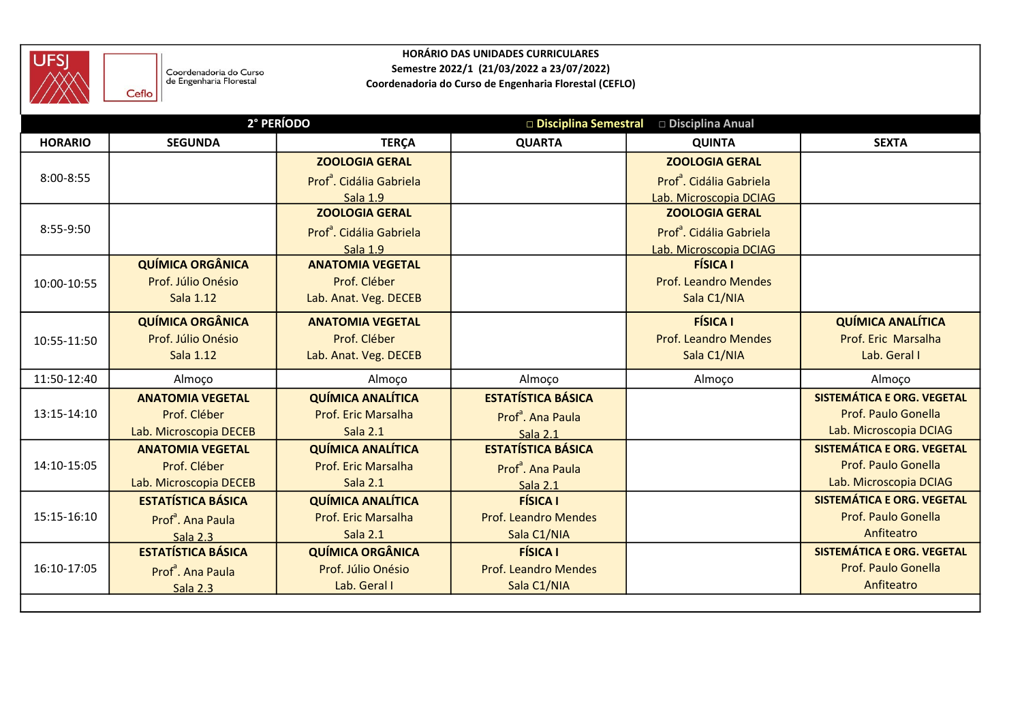

|                | Coordenadoria do Curso                |                                                 | <b>HORÁRIO DAS UNIDADES CURRICULARES</b><br>Semestre 2022/1 (21/03/2022 a 23/07/2022) |                                                 |                                                   |
|----------------|---------------------------------------|-------------------------------------------------|---------------------------------------------------------------------------------------|-------------------------------------------------|---------------------------------------------------|
|                | de Engenharia Florestal<br>Ceflo      |                                                 | Coordenadoria do Curso de Engenharia Florestal (CEFLO)                                |                                                 |                                                   |
|                |                                       | 2° PERÍODO                                      |                                                                                       | □ Disciplina Semestral □ Disciplina Anual       |                                                   |
| <b>HORARIO</b> | <b>SEGUNDA</b>                        | <b>TERÇA</b>                                    | <b>QUARTA</b>                                                                         | <b>QUINTA</b>                                   | <b>SEXTA</b>                                      |
|                |                                       | <b>ZOOLOGIA GERAL</b>                           |                                                                                       | <b>ZOOLOGIA GERAL</b>                           |                                                   |
| $8:00 - 8:55$  |                                       | Prof <sup>ª</sup> . Cidália Gabriela            |                                                                                       | Prof <sup>ª</sup> . Cidália Gabriela            |                                                   |
|                |                                       | Sala 1.9<br><b>ZOOLOGIA GERAL</b>               |                                                                                       | Lab. Microscopia DCIAG<br><b>ZOOLOGIA GERAL</b> |                                                   |
| 8:55-9:50      |                                       | Prof <sup>ª</sup> . Cidália Gabriela            |                                                                                       | Prof <sup>ª</sup> . Cidália Gabriela            |                                                   |
|                |                                       | Sala 1.9                                        |                                                                                       | Lab. Microscopia DCIAG                          |                                                   |
|                | <b>QUÍMICA ORGÂNICA</b>               | <b>ANATOMIA VEGETAL</b>                         |                                                                                       | <b>FÍSICA I</b>                                 |                                                   |
| 10:00-10:55    | Prof. Júlio Onésio                    | Prof. Cléber                                    |                                                                                       | <b>Prof. Leandro Mendes</b>                     |                                                   |
|                | Sala 1.12                             | Lab. Anat. Veg. DECEB                           |                                                                                       | Sala C1/NIA                                     |                                                   |
|                | <b>QUÍMICA ORGÂNICA</b>               | <b>ANATOMIA VEGETAL</b>                         |                                                                                       | <b>FÍSICA I</b>                                 | <b>QUÍMICA ANALÍTICA</b>                          |
| 10:55-11:50    | Prof. Júlio Onésio                    | Prof. Cléber                                    |                                                                                       | <b>Prof. Leandro Mendes</b>                     | Prof. Eric Marsalha                               |
|                | Sala 1.12                             | Lab. Anat. Veg. DECEB                           |                                                                                       | Sala C1/NIA                                     | Lab. Geral I                                      |
| 11:50-12:40    | Almoço                                | Almoço                                          | Almoço                                                                                | Almoço                                          | Almoço                                            |
|                | <b>ANATOMIA VEGETAL</b>               | <b>QUÍMICA ANALÍTICA</b>                        | <b>ESTATÍSTICA BÁSICA</b>                                                             |                                                 | SISTEMÁTICA E ORG. VEGETAL                        |
| 13:15-14:10    | Prof. Cléber                          | Prof. Eric Marsalha                             | Prof <sup>ª</sup> . Ana Paula                                                         |                                                 | Prof. Paulo Gonella                               |
|                | Lab. Microscopia DECEB                | Sala 2.1                                        | Sala 2.1                                                                              |                                                 | Lab. Microscopia DCIAG                            |
|                | <b>ANATOMIA VEGETAL</b>               | <b>QUÍMICA ANALÍTICA</b>                        | <b>ESTATÍSTICA BÁSICA</b>                                                             |                                                 | SISTEMÁTICA E ORG. VEGETAL                        |
| 14:10-15:05    | Prof. Cléber                          | Prof. Eric Marsalha                             | Prof <sup>ª</sup> . Ana Paula                                                         |                                                 | Prof. Paulo Gonella                               |
|                | Lab. Microscopia DECEB                | Sala 2.1                                        | Sala 2.1                                                                              |                                                 | Lab. Microscopia DCIAG                            |
| 15:15-16:10    | <b>ESTATÍSTICA BÁSICA</b>             | <b>QUÍMICA ANALÍTICA</b><br>Prof. Eric Marsalha | <b>FÍSICA I</b>                                                                       |                                                 | SISTEMÁTICA E ORG. VEGETAL<br>Prof. Paulo Gonella |
|                | Prof <sup>ª</sup> . Ana Paula         | Sala 2.1                                        | <b>Prof. Leandro Mendes</b><br>Sala C1/NIA                                            |                                                 | Anfiteatro                                        |
|                | Sala 2.3<br><b>ESTATÍSTICA BÁSICA</b> | <b>QUÍMICA ORGÂNICA</b>                         | <b>FÍSICA I</b>                                                                       |                                                 | SISTEMÁTICA E ORG. VEGETAL                        |
| 16:10-17:05    | Prof <sup>ª</sup> . Ana Paula         | Prof. Júlio Onésio                              | <b>Prof. Leandro Mendes</b>                                                           |                                                 | Prof. Paulo Gonella                               |
|                | Sala 2.3                              | Lab. Geral I                                    | Sala C1/NIA                                                                           |                                                 | Anfiteatro                                        |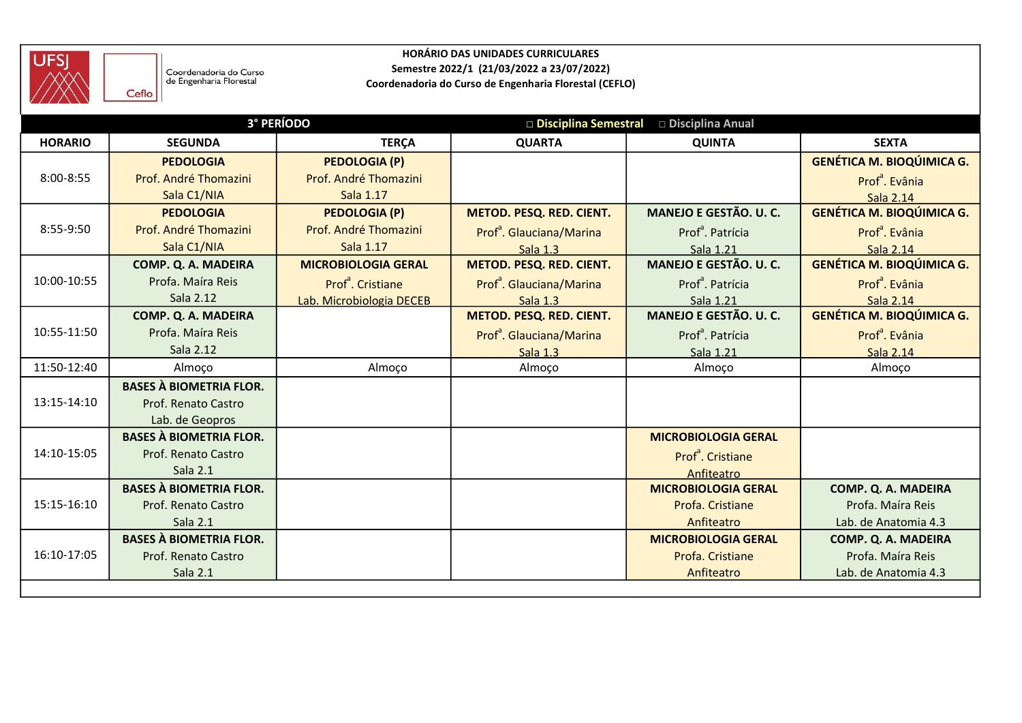

| <b>UFSJ</b>    | Coordenadoria do Curso<br>de Engenharia Florestal<br>Ceflo |                                               | <b>HORÁRIO DAS UNIDADES CURRICULARES</b><br>Semestre 2022/1 (21/03/2022 a 23/07/2022)<br>Coordenadoria do Curso de Engenharia Florestal (CEFLO) |                                           |                                                                |
|----------------|------------------------------------------------------------|-----------------------------------------------|-------------------------------------------------------------------------------------------------------------------------------------------------|-------------------------------------------|----------------------------------------------------------------|
|                |                                                            | <b>3° PERÍODO</b>                             |                                                                                                                                                 | □ Disciplina Semestral □ Disciplina Anual |                                                                |
| <b>HORARIO</b> | <b>SEGUNDA</b>                                             | <b>TERÇA</b>                                  | <b>QUARTA</b>                                                                                                                                   | <b>QUINTA</b>                             | <b>SEXTA</b>                                                   |
| 8:00-8:55      | <b>PEDOLOGIA</b><br>Prof. André Thomazini                  | <b>PEDOLOGIA (P)</b><br>Prof. André Thomazini |                                                                                                                                                 |                                           | <b>GENÉTICA M. BIOQÚIMICA G.</b><br>Prof <sup>ª</sup> . Evânia |
|                | Sala C1/NIA                                                | Sala 1.17                                     |                                                                                                                                                 |                                           | Sala 2.14                                                      |
|                | <b>PEDOLOGIA</b>                                           | <b>PEDOLOGIA (P)</b>                          | METOD. PESQ. RED. CIENT.                                                                                                                        | MANEJO E GESTÃO. U. C.                    | <b>GENÉTICA M. BIOQÚIMICA G.</b>                               |
| 8:55-9:50      | Prof. André Thomazini                                      | Prof. André Thomazini                         | Prof <sup>ª</sup> . Glauciana/Marina                                                                                                            | Prof <sup>ª</sup> . Patrícia              | Prof <sup>ª</sup> . Evânia                                     |
|                | Sala C1/NIA                                                | Sala 1.17                                     | Sala 1.3                                                                                                                                        | Sala 1.21                                 | Sala 2.14                                                      |
|                | COMP. Q. A. MADEIRA                                        | <b>MICROBIOLOGIA GERAL</b>                    | METOD. PESQ. RED. CIENT.                                                                                                                        | MANEJO E GESTÃO. U. C.                    | <b>GENÉTICA M. BIOQÚIMICA G.</b>                               |
| 10:00-10:55    | Profa. Maíra Reis                                          | Prof <sup>ª</sup> . Cristiane                 | Prof <sup>ª</sup> . Glauciana/Marina                                                                                                            | Prof <sup>ª</sup> . Patrícia              | Prof <sup>ª</sup> . Evânia                                     |
|                | Sala 2.12                                                  | Lab. Microbiologia DECEB                      | Sala 1.3                                                                                                                                        | Sala 1.21                                 | Sala 2.14                                                      |
|                | COMP. Q. A. MADEIRA                                        |                                               | METOD. PESQ. RED. CIENT.                                                                                                                        | MANEJO E GESTÃO. U. C.                    | <b>GENÉTICA M. BIOQÚIMICA G.</b>                               |
| 10:55-11:50    | Profa. Maíra Reis                                          |                                               | Prof <sup>ª</sup> . Glauciana/Marina                                                                                                            | Prof <sup>ª</sup> . Patrícia              | Prof <sup>ª</sup> . Evânia                                     |
|                | Sala 2.12                                                  |                                               | Sala 1.3                                                                                                                                        | Sala 1.21                                 | Sala 2.14                                                      |
| 11:50-12:40    | Almoço                                                     | Almoço                                        | Almoço                                                                                                                                          | Almoço                                    | Almoço                                                         |
| 13:15-14:10    | <b>BASES À BIOMETRIA FLOR.</b>                             |                                               |                                                                                                                                                 |                                           |                                                                |
|                | Prof. Renato Castro<br>Lab. de Geopros                     |                                               |                                                                                                                                                 |                                           |                                                                |
|                | <b>BASES À BIOMETRIA FLOR.</b>                             |                                               |                                                                                                                                                 | <b>MICROBIOLOGIA GERAL</b>                |                                                                |
| 14:10-15:05    | Prof. Renato Castro                                        |                                               |                                                                                                                                                 | Prof <sup>ª</sup> . Cristiane             |                                                                |
|                | Sala 2.1                                                   |                                               |                                                                                                                                                 | Anfiteatro                                |                                                                |
|                | <b>BASES À BIOMETRIA FLOR.</b>                             |                                               |                                                                                                                                                 | <b>MICROBIOLOGIA GERAL</b>                | COMP. Q. A. MADEIRA                                            |
| 15:15-16:10    | Prof. Renato Castro                                        |                                               |                                                                                                                                                 | Profa. Cristiane                          | Profa. Maíra Reis                                              |
|                | Sala 2.1                                                   |                                               |                                                                                                                                                 | Anfiteatro                                | Lab. de Anatomia 4.3                                           |
|                | <b>BASES À BIOMETRIA FLOR.</b>                             |                                               |                                                                                                                                                 | <b>MICROBIOLOGIA GERAL</b>                | COMP. Q. A. MADEIRA                                            |
| 16:10-17:05    | Prof. Renato Castro                                        |                                               |                                                                                                                                                 | Profa. Cristiane                          | Profa. Maíra Reis                                              |
|                | Sala 2.1                                                   |                                               |                                                                                                                                                 | Anfiteatro                                | Lab. de Anatomia 4.3                                           |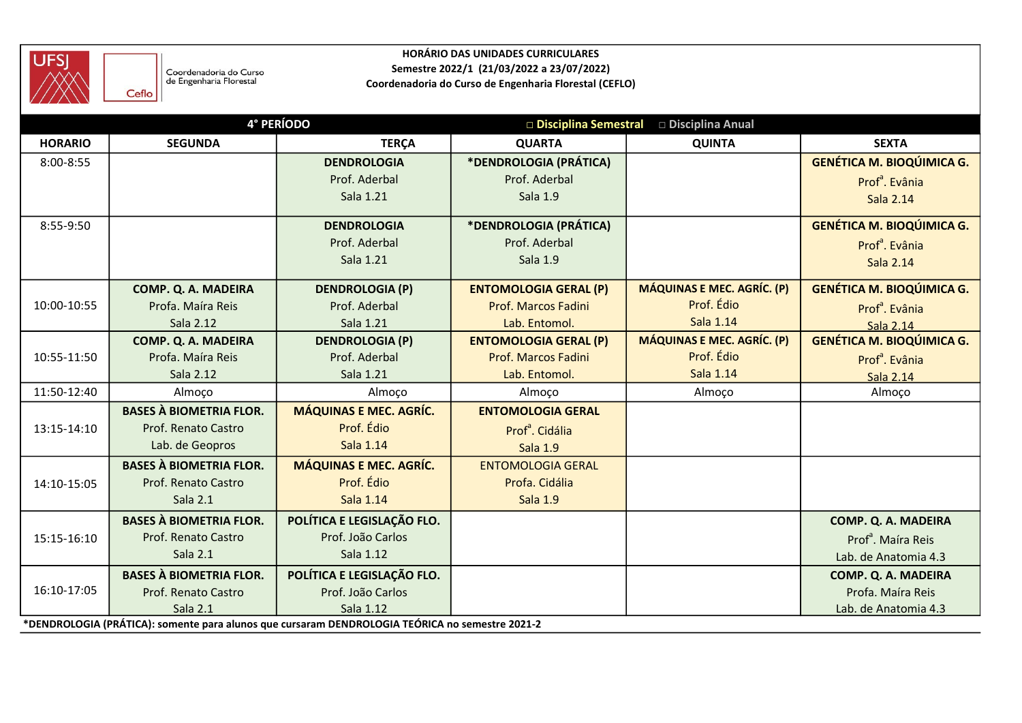

|                |                                                       |                                                                                                 | <b>HORÁRIO DAS UNIDADES CURRICULARES</b>               |                                           |                                          |
|----------------|-------------------------------------------------------|-------------------------------------------------------------------------------------------------|--------------------------------------------------------|-------------------------------------------|------------------------------------------|
| <b>UFSJ</b>    | Coordenadoria do Curso                                |                                                                                                 | Semestre 2022/1 (21/03/2022 a 23/07/2022)              |                                           |                                          |
|                | de Engenharia Florestal<br>Ceflo                      |                                                                                                 | Coordenadoria do Curso de Engenharia Florestal (CEFLO) |                                           |                                          |
|                |                                                       | 4° PERÍODO                                                                                      |                                                        | □ Disciplina Semestral □ Disciplina Anual |                                          |
| <b>HORARIO</b> | <b>SEGUNDA</b>                                        | <b>TERÇA</b>                                                                                    | <b>QUARTA</b>                                          | <b>QUINTA</b>                             | <b>SEXTA</b>                             |
| 8:00-8:55      |                                                       | <b>DENDROLOGIA</b>                                                                              | *DENDROLOGIA (PRÁTICA)                                 |                                           | <b>GENÉTICA M. BIOQÚIMICA G.</b>         |
|                |                                                       | Prof. Aderbal                                                                                   | Prof. Aderbal                                          |                                           | Prof <sup>ª</sup> . Evânia               |
|                |                                                       | Sala 1.21                                                                                       | Sala 1.9                                               |                                           | <b>Sala 2.14</b>                         |
| 8:55-9:50      |                                                       | <b>DENDROLOGIA</b>                                                                              | *DENDROLOGIA (PRÁTICA)                                 |                                           | <b>GENÉTICA M. BIOQÚIMICA G.</b>         |
|                |                                                       | Prof. Aderbal                                                                                   | Prof. Aderbal                                          |                                           | Prof <sup>ª</sup> . Evânia               |
|                |                                                       | Sala 1.21                                                                                       | Sala 1.9                                               |                                           | <b>Sala 2.14</b>                         |
|                | COMP. Q. A. MADEIRA                                   | <b>DENDROLOGIA (P)</b>                                                                          | <b>ENTOMOLOGIA GERAL (P)</b>                           | <b>MÁQUINAS E MEC. AGRÍC. (P)</b>         | <b>GENÉTICA M. BIOQÚIMICA G.</b>         |
| 10:00-10:55    | Profa. Maíra Reis                                     | Prof. Aderbal                                                                                   | Prof. Marcos Fadini                                    | Prof. Édio                                | Prof <sup>ª</sup> . Evânia               |
|                | Sala 2.12                                             | Sala 1.21                                                                                       | Lab. Entomol.                                          | Sala 1.14                                 | Sala 2.14                                |
|                | COMP. Q. A. MADEIRA                                   | <b>DENDROLOGIA (P)</b>                                                                          | <b>ENTOMOLOGIA GERAL (P)</b>                           | MÁQUINAS E MEC. AGRÍC. (P)                | <b>GENÉTICA M. BIOQÚIMICA G.</b>         |
| 10:55-11:50    | Profa. Maíra Reis                                     | Prof. Aderbal                                                                                   | Prof. Marcos Fadini                                    | Prof. Édio                                | Prof <sup>ª</sup> . Evânia               |
|                | Sala 2.12                                             | Sala 1.21                                                                                       | Lab. Entomol.                                          | Sala 1.14                                 | Sala 2.14                                |
| 11:50-12:40    | Almoço                                                | Almoço                                                                                          | Almoço                                                 | Almoço                                    | Almoço                                   |
|                | <b>BASES À BIOMETRIA FLOR.</b>                        | <b>MÁQUINAS E MEC. AGRÍC.</b>                                                                   | <b>ENTOMOLOGIA GERAL</b>                               |                                           |                                          |
| 13:15-14:10    | Prof. Renato Castro                                   | Prof. Édio                                                                                      | Prof <sup>ª</sup> . Cidália                            |                                           |                                          |
|                | Lab. de Geopros                                       | Sala 1.14                                                                                       | Sala 1.9                                               |                                           |                                          |
|                | <b>BASES À BIOMETRIA FLOR.</b>                        | <b>MÁQUINAS E MEC. AGRÍC.</b>                                                                   | <b>ENTOMOLOGIA GERAL</b>                               |                                           |                                          |
| 14:10-15:05    | Prof. Renato Castro<br>Sala 2.1                       | Prof. Édio<br>Sala 1.14                                                                         | Profa. Cidália<br>Sala 1.9                             |                                           |                                          |
|                |                                                       |                                                                                                 |                                                        |                                           |                                          |
|                | <b>BASES À BIOMETRIA FLOR.</b>                        | POLÍTICA E LEGISLAÇÃO FLO.                                                                      |                                                        |                                           | COMP. Q. A. MADEIRA                      |
| 15:15-16:10    | Prof. Renato Castro<br>Sala 2.1                       | Prof. João Carlos<br>Sala 1.12                                                                  |                                                        |                                           | Prof <sup>a</sup> . Maíra Reis           |
|                |                                                       |                                                                                                 |                                                        |                                           | Lab. de Anatomia 4.3                     |
| 16:10-17:05    | <b>BASES À BIOMETRIA FLOR.</b><br>Prof. Renato Castro | POLÍTICA E LEGISLAÇÃO FLO.<br>Prof. João Carlos                                                 |                                                        |                                           | COMP. Q. A. MADEIRA<br>Profa. Maíra Reis |
|                | Sala 2.1                                              | Sala 1.12                                                                                       |                                                        |                                           | Lab. de Anatomia 4.3                     |
|                |                                                       | *DENDROLOGIA (PRÁTICA): somente para alunos que cursaram DENDROLOGIA TEÓRICA no semestre 2021-2 |                                                        |                                           |                                          |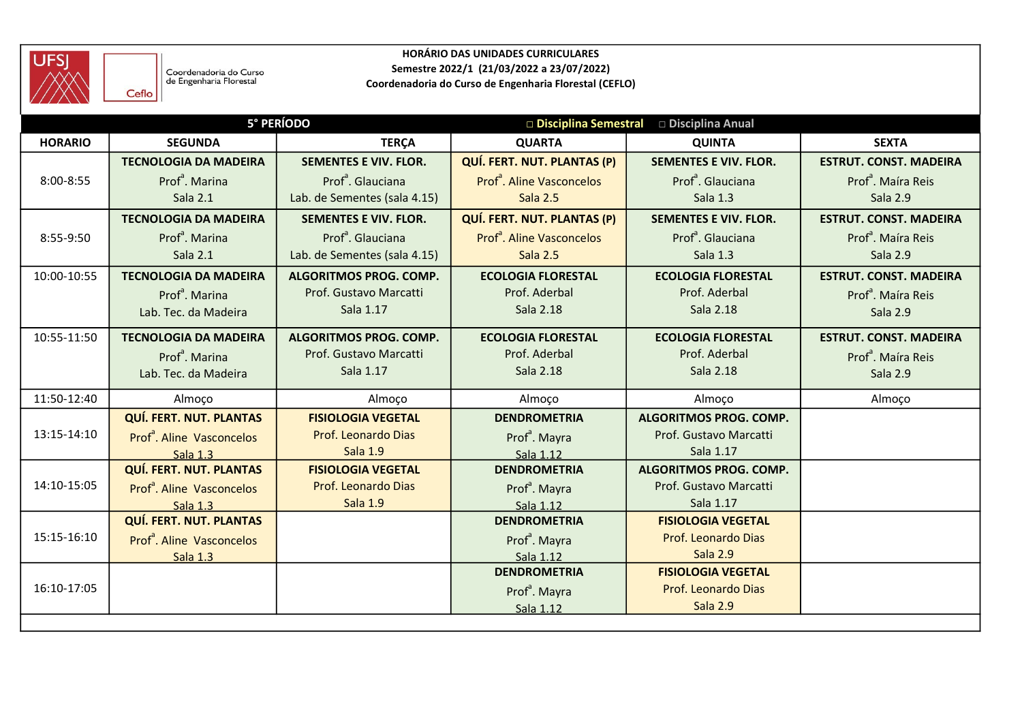

| <b>UFSJ</b>    |                                                            |                               | <b>HORÁRIO DAS UNIDADES CURRICULARES</b><br>Semestre 2022/1 (21/03/2022 a 23/07/2022) |                               |                                |
|----------------|------------------------------------------------------------|-------------------------------|---------------------------------------------------------------------------------------|-------------------------------|--------------------------------|
|                | Coordenadoria do Curso<br>de Engenharia Florestal<br>Ceflo |                               | Coordenadoria do Curso de Engenharia Florestal (CEFLO)                                |                               |                                |
|                |                                                            | 5° PERÍODO                    | □ Disciplina Semestral                                                                | □ Disciplina Anual            |                                |
| <b>HORARIO</b> | <b>SEGUNDA</b>                                             | <b>TERÇA</b>                  | <b>QUARTA</b>                                                                         | <b>QUINTA</b>                 | <b>SEXTA</b>                   |
|                | <b>TECNOLOGIA DA MADEIRA</b>                               | <b>SEMENTES E VIV. FLOR.</b>  | <b>QUÍ. FERT. NUT. PLANTAS (P)</b>                                                    | <b>SEMENTES E VIV. FLOR.</b>  | <b>ESTRUT. CONST. MADEIRA</b>  |
| 8:00-8:55      | Prof <sup>ª</sup> . Marina                                 | Prof <sup>ª</sup> . Glauciana | Prof <sup>ª</sup> . Aline Vasconcelos                                                 | Prof <sup>ª</sup> . Glauciana | Prof <sup>ª</sup> . Maíra Reis |
|                | Sala 2.1                                                   | Lab. de Sementes (sala 4.15)  | Sala 2.5                                                                              | Sala 1.3                      | Sala 2.9                       |
|                | <b>TECNOLOGIA DA MADEIRA</b>                               | <b>SEMENTES E VIV. FLOR.</b>  | QUÍ. FERT. NUT. PLANTAS (P)                                                           | <b>SEMENTES E VIV. FLOR.</b>  | <b>ESTRUT. CONST. MADEIRA</b>  |
| 8:55-9:50      | Prof <sup>ª</sup> . Marina                                 | Prof <sup>ª</sup> . Glauciana | Prof <sup>ª</sup> . Aline Vasconcelos                                                 | Prof <sup>ª</sup> . Glauciana | Prof <sup>ª</sup> . Maíra Reis |
|                | Sala 2.1                                                   | Lab. de Sementes (sala 4.15)  | Sala 2.5                                                                              | Sala 1.3                      | Sala 2.9                       |
| 10:00-10:55    | <b>TECNOLOGIA DA MADEIRA</b>                               | ALGORITMOS PROG. COMP.        | <b>ECOLOGIA FLORESTAL</b>                                                             | <b>ECOLOGIA FLORESTAL</b>     | <b>ESTRUT. CONST. MADEIRA</b>  |
|                | Prof <sup>ª</sup> . Marina                                 | Prof. Gustavo Marcatti        | Prof. Aderbal                                                                         | Prof. Aderbal                 | Prof <sup>ª</sup> . Maíra Reis |
|                | Lab. Tec. da Madeira                                       | Sala 1.17                     | Sala 2.18                                                                             | Sala 2.18                     | Sala 2.9                       |
| 10:55-11:50    | <b>TECNOLOGIA DA MADEIRA</b>                               | ALGORITMOS PROG. COMP.        | <b>ECOLOGIA FLORESTAL</b>                                                             | <b>ECOLOGIA FLORESTAL</b>     | <b>ESTRUT. CONST. MADEIRA</b>  |
|                | Prof <sup>ª</sup> , Marina                                 | Prof. Gustavo Marcatti        | Prof. Aderbal                                                                         | Prof. Aderbal                 | Prof <sup>ª</sup> . Maíra Reis |
|                | Lab. Tec. da Madeira                                       | Sala 1.17                     | Sala 2.18                                                                             | Sala 2.18                     | Sala 2.9                       |
| 11:50-12:40    | Almoço                                                     | Almoço                        | Almoço                                                                                | Almoço                        | Almoço                         |
|                | QUÍ. FERT. NUT. PLANTAS                                    | <b>FISIOLOGIA VEGETAL</b>     | <b>DENDROMETRIA</b>                                                                   | ALGORITMOS PROG. COMP.        |                                |
| 13:15-14:10    | Prof <sup>ª</sup> . Aline Vasconcelos                      | Prof. Leonardo Dias           | Prof <sup>ª</sup> . Mayra                                                             | Prof. Gustavo Marcatti        |                                |
|                | Sala 1.3                                                   | <b>Sala 1.9</b>               | Sala 1.12                                                                             | Sala 1.17                     |                                |
|                | <b>QUÍ. FERT. NUT. PLANTAS</b>                             | <b>FISIOLOGIA VEGETAL</b>     | <b>DENDROMETRIA</b>                                                                   | ALGORITMOS PROG. COMP.        |                                |
| 14:10-15:05    | Prof <sup>ª</sup> . Aline Vasconcelos                      | Prof. Leonardo Dias           | Prof <sup>ª</sup> . Mayra                                                             | Prof. Gustavo Marcatti        |                                |
|                | Sala 1.3                                                   | <b>Sala 1.9</b>               | Sala 1.12                                                                             | Sala 1.17                     |                                |
|                | <b>QUÍ. FERT. NUT. PLANTAS</b>                             |                               | <b>DENDROMETRIA</b>                                                                   | <b>FISIOLOGIA VEGETAL</b>     |                                |
| 15:15-16:10    | Prof <sup>ª</sup> . Aline Vasconcelos                      |                               | Prof <sup>ª</sup> . Mayra                                                             | Prof. Leonardo Dias           |                                |
|                | Sala 1.3                                                   |                               | Sala 1.12                                                                             | Sala 2.9                      |                                |
|                |                                                            |                               | <b>DENDROMETRIA</b>                                                                   | <b>FISIOLOGIA VEGETAL</b>     |                                |
| 16:10-17:05    |                                                            |                               | Prof <sup>a</sup> . Mayra                                                             | Prof. Leonardo Dias           |                                |
|                |                                                            |                               | Sala 1.12                                                                             | Sala 2.9                      |                                |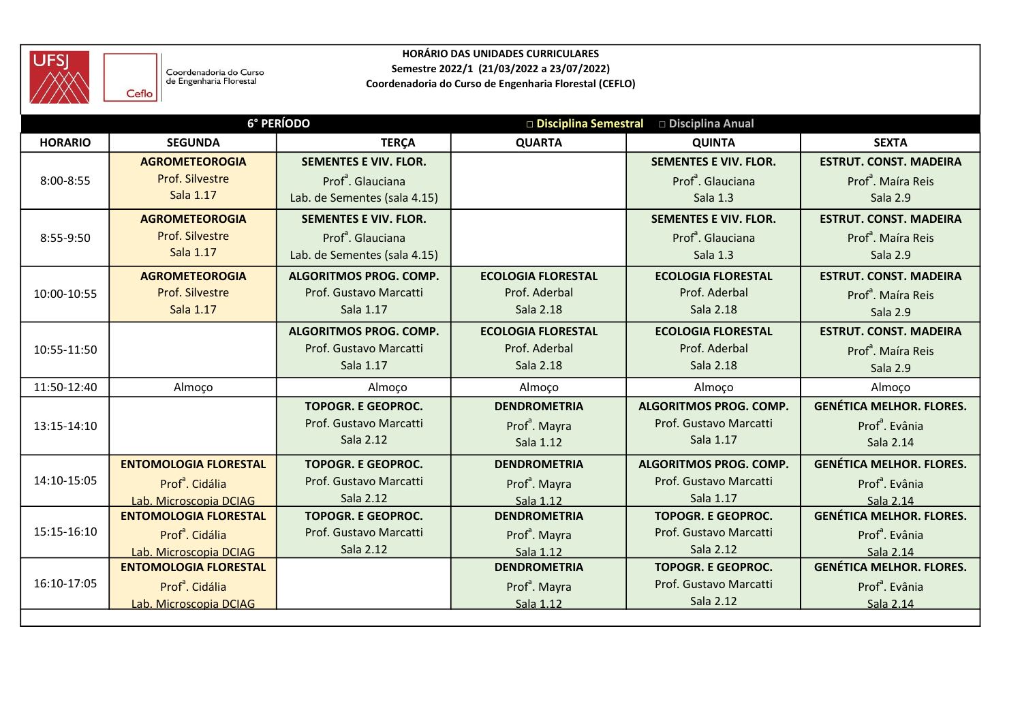

| <b>UFSJ</b>    |                                                            |                               | HORÁRIO DAS UNIDADES CURRICULARES                                                                   |                                           |                                 |
|----------------|------------------------------------------------------------|-------------------------------|-----------------------------------------------------------------------------------------------------|-------------------------------------------|---------------------------------|
|                | Coordenadoria do Curso<br>de Engenharia Florestal<br>Ceflo |                               | Semestre 2022/1 (21/03/2022 a 23/07/2022)<br>Coordenadoria do Curso de Engenharia Florestal (CEFLO) |                                           |                                 |
|                |                                                            | 6° PERÍODO                    |                                                                                                     | □ Disciplina Semestral □ Disciplina Anual |                                 |
| <b>HORARIO</b> | <b>SEGUNDA</b>                                             | <b>TERÇA</b>                  | <b>QUARTA</b>                                                                                       | <b>QUINTA</b>                             | <b>SEXTA</b>                    |
|                | <b>AGROMETEOROGIA</b>                                      | <b>SEMENTES E VIV. FLOR.</b>  |                                                                                                     | <b>SEMENTES E VIV. FLOR.</b>              | <b>ESTRUT. CONST. MADEIRA</b>   |
| 8:00-8:55      | Prof. Silvestre                                            | Prof <sup>ª</sup> . Glauciana |                                                                                                     | Prof <sup>ª</sup> . Glauciana             | Prof <sup>ª</sup> . Maíra Reis  |
|                | Sala 1.17                                                  | Lab. de Sementes (sala 4.15)  |                                                                                                     | Sala 1.3                                  | Sala 2.9                        |
|                | <b>AGROMETEOROGIA</b>                                      | <b>SEMENTES E VIV. FLOR.</b>  |                                                                                                     | <b>SEMENTES E VIV. FLOR.</b>              | <b>ESTRUT. CONST. MADEIRA</b>   |
| 8:55-9:50      | Prof. Silvestre                                            | Prof <sup>ª</sup> . Glauciana |                                                                                                     | Prof <sup>ª</sup> . Glauciana             | Prof <sup>ª</sup> . Maíra Reis  |
|                | Sala 1.17                                                  | Lab. de Sementes (sala 4.15)  |                                                                                                     | Sala 1.3                                  | Sala 2.9                        |
|                | <b>AGROMETEOROGIA</b>                                      | <b>ALGORITMOS PROG. COMP.</b> | <b>ECOLOGIA FLORESTAL</b>                                                                           | <b>ECOLOGIA FLORESTAL</b>                 | <b>ESTRUT. CONST. MADEIRA</b>   |
| 10:00-10:55    | Prof. Silvestre                                            | Prof. Gustavo Marcatti        | Prof. Aderbal                                                                                       | Prof. Aderbal                             | Prof <sup>ª</sup> . Maíra Reis  |
|                | Sala 1.17                                                  | Sala 1.17                     | Sala 2.18                                                                                           | Sala 2.18                                 | Sala 2.9                        |
|                |                                                            | <b>ALGORITMOS PROG. COMP.</b> | <b>ECOLOGIA FLORESTAL</b>                                                                           | <b>ECOLOGIA FLORESTAL</b>                 | <b>ESTRUT. CONST. MADEIRA</b>   |
| 10:55-11:50    |                                                            | Prof. Gustavo Marcatti        | Prof. Aderbal                                                                                       | Prof. Aderbal                             | Prof <sup>ª</sup> . Maíra Reis  |
|                |                                                            | Sala 1.17                     | Sala 2.18                                                                                           | Sala 2.18                                 | Sala 2.9                        |
| 11:50-12:40    | Almoço                                                     | Almoço                        | Almoço                                                                                              | Almoço                                    | Almoço                          |
|                |                                                            | <b>TOPOGR. E GEOPROC.</b>     | <b>DENDROMETRIA</b>                                                                                 | ALGORITMOS PROG. COMP.                    | <b>GENÉTICA MELHOR. FLORES.</b> |
| 13:15-14:10    |                                                            | Prof. Gustavo Marcatti        | Prof <sup>a</sup> . Mayra                                                                           | Prof. Gustavo Marcatti                    | Prof <sup>ª</sup> . Evânia      |
|                |                                                            | Sala 2.12                     | Sala 1.12                                                                                           | Sala 1.17                                 | Sala 2.14                       |
|                | <b>ENTOMOLOGIA FLORESTAL</b>                               | <b>TOPOGR. E GEOPROC.</b>     | <b>DENDROMETRIA</b>                                                                                 | ALGORITMOS PROG. COMP.                    | <b>GENÉTICA MELHOR. FLORES.</b> |
| 14:10-15:05    | Prof <sup>ª</sup> . Cidália                                | Prof. Gustavo Marcatti        | Prof <sup>a</sup> . Mayra                                                                           | Prof. Gustavo Marcatti                    | Prof <sup>ª</sup> . Evânia      |
|                | Lab. Microscopia DCIAG                                     | Sala 2.12                     | Sala 1.12                                                                                           | Sala 1.17                                 | Sala 2.14                       |
|                | <b>ENTOMOLOGIA FLORESTAL</b>                               | <b>TOPOGR. E GEOPROC.</b>     | <b>DENDROMETRIA</b>                                                                                 | <b>TOPOGR. E GEOPROC.</b>                 | <b>GENÉTICA MELHOR. FLORES.</b> |
| 15:15-16:10    | Prof <sup>ª</sup> . Cidália                                | Prof. Gustavo Marcatti        | Prof <sup>a</sup> . Mayra                                                                           | Prof. Gustavo Marcatti                    | Prof <sup>ª</sup> . Evânia      |
|                | Lab. Microscopia DCIAG                                     | Sala 2.12                     | Sala 1.12                                                                                           | Sala 2.12                                 | Sala 2.14                       |
|                | <b>ENTOMOLOGIA FLORESTAL</b>                               |                               | <b>DENDROMETRIA</b>                                                                                 | <b>TOPOGR. E GEOPROC.</b>                 | <b>GENÉTICA MELHOR. FLORES.</b> |
| 16:10-17:05    | Prof <sup>ª</sup> . Cidália                                |                               | Prof <sup>a</sup> . Mayra                                                                           | Prof. Gustavo Marcatti                    | Prof <sup>ª</sup> . Evânia      |
|                | Lab. Microscopia DCIAG                                     |                               | Sala 1.12                                                                                           | Sala 2.12                                 | Sala 2.14                       |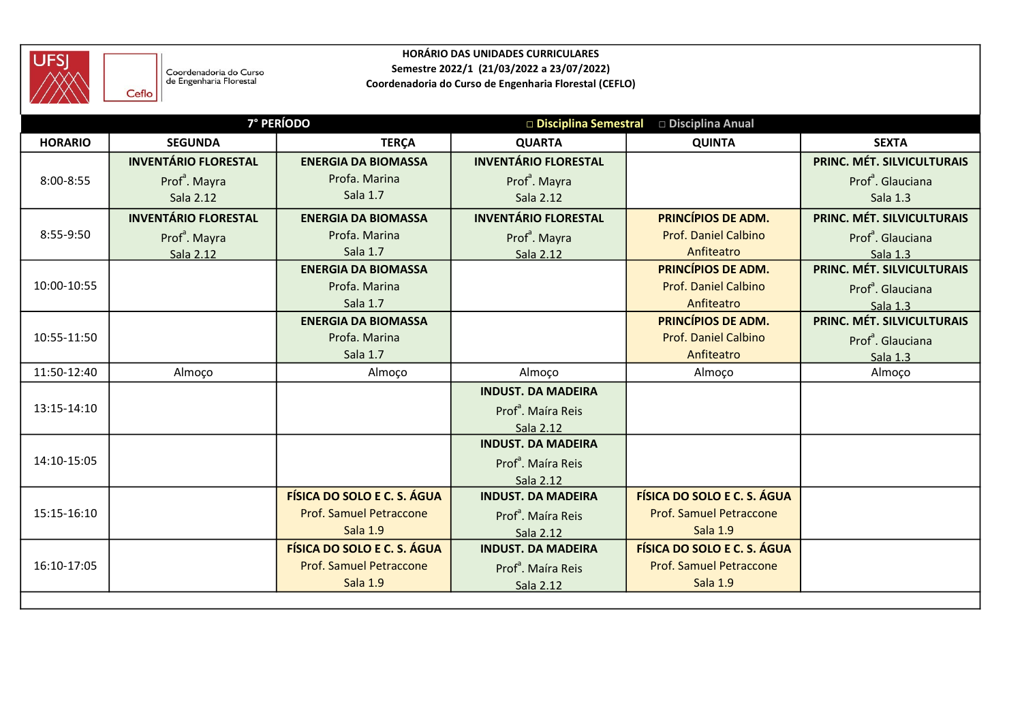

| <b>UFSJ</b>    | Coordenadoria do Curso<br>de Engenharia Florestal<br>Ceflo |                                | HORÁRIO DAS UNIDADES CURRICULARES<br>Semestre 2022/1 (21/03/2022 a 23/07/2022)<br>Coordenadoria do Curso de Engenharia Florestal (CEFLO) |                             |                               |
|----------------|------------------------------------------------------------|--------------------------------|------------------------------------------------------------------------------------------------------------------------------------------|-----------------------------|-------------------------------|
|                |                                                            | <b>7° PERÍODO</b>              | Disciplina Semestral                                                                                                                     | □ Disciplina Anual          |                               |
| <b>HORARIO</b> | <b>SEGUNDA</b>                                             | <b>TERÇA</b>                   | <b>QUARTA</b>                                                                                                                            | <b>QUINTA</b>               | <b>SEXTA</b>                  |
|                | <b>INVENTÁRIO FLORESTAL</b>                                | <b>ENERGIA DA BIOMASSA</b>     | <b>INVENTÁRIO FLORESTAL</b>                                                                                                              |                             | PRINC. MÉT. SILVICULTURAIS    |
| 8:00-8:55      | Prof <sup>a</sup> . Mayra                                  | Profa, Marina                  | Prof <sup>ª</sup> . Mayra                                                                                                                |                             | Prof <sup>ª</sup> . Glauciana |
|                | Sala 2.12                                                  | Sala 1.7                       | Sala 2.12                                                                                                                                |                             | Sala 1.3                      |
|                | <b>INVENTÁRIO FLORESTAL</b>                                | <b>ENERGIA DA BIOMASSA</b>     | <b>INVENTÁRIO FLORESTAL</b>                                                                                                              | PRINCÍPIOS DE ADM.          | PRINC. MÉT. SILVICULTURAIS    |
| 8:55-9:50      | Prof <sup>a</sup> . Mayra                                  | Profa. Marina                  | Prof <sup>a</sup> . Mayra                                                                                                                | <b>Prof. Daniel Calbino</b> | Prof <sup>ª</sup> . Glauciana |
|                | Sala 2.12                                                  | Sala 1.7                       | Sala 2.12                                                                                                                                | Anfiteatro                  | Sala 1.3                      |
|                |                                                            | <b>ENERGIA DA BIOMASSA</b>     |                                                                                                                                          | PRINCÍPIOS DE ADM.          | PRINC. MÉT. SILVICULTURAIS    |
| 10:00-10:55    |                                                            | Profa. Marina                  |                                                                                                                                          | <b>Prof. Daniel Calbino</b> | Prof <sup>ª</sup> . Glauciana |
|                |                                                            | Sala 1.7                       |                                                                                                                                          | Anfiteatro                  | Sala 1.3                      |
|                |                                                            | <b>ENERGIA DA BIOMASSA</b>     |                                                                                                                                          | PRINCÍPIOS DE ADM.          | PRINC. MÉT. SILVICULTURAIS    |
| 10:55-11:50    |                                                            | Profa. Marina                  |                                                                                                                                          | <b>Prof. Daniel Calbino</b> | Prof <sup>ª</sup> . Glauciana |
|                |                                                            | Sala 1.7                       |                                                                                                                                          | Anfiteatro                  | Sala 1.3                      |
| 11:50-12:40    | Almoço                                                     | Almoço                         | Almoço                                                                                                                                   | Almoço                      | Almoço                        |
|                |                                                            |                                | <b>INDUST. DA MADEIRA</b>                                                                                                                |                             |                               |
| 13:15-14:10    |                                                            |                                | Prof <sup>ª</sup> . Maíra Reis                                                                                                           |                             |                               |
|                |                                                            |                                | Sala 2.12<br><b>INDUST. DA MADEIRA</b>                                                                                                   |                             |                               |
| 14:10-15:05    |                                                            |                                | Prof <sup>ª</sup> . Maíra Reis                                                                                                           |                             |                               |
|                |                                                            |                                | Sala 2.12                                                                                                                                |                             |                               |
|                |                                                            | FÍSICA DO SOLO E C. S. ÁGUA    | <b>INDUST. DA MADEIRA</b>                                                                                                                | FÍSICA DO SOLO E C. S. ÁGUA |                               |
| 15:15-16:10    |                                                            | <b>Prof. Samuel Petraccone</b> | Prof <sup>ª</sup> . Maíra Reis                                                                                                           | Prof. Samuel Petraccone     |                               |
|                |                                                            | <b>Sala 1.9</b>                | Sala 2.12                                                                                                                                | <b>Sala 1.9</b>             |                               |
|                |                                                            | FÍSICA DO SOLO E C. S. ÁGUA    | <b>INDUST. DA MADEIRA</b>                                                                                                                | FÍSICA DO SOLO E C. S. ÁGUA |                               |
| 16:10-17:05    |                                                            | <b>Prof. Samuel Petraccone</b> | Prof <sup>a</sup> . Maíra Reis                                                                                                           | Prof. Samuel Petraccone     |                               |
|                |                                                            | <b>Sala 1.9</b>                | Sala 2.12                                                                                                                                | <b>Sala 1.9</b>             |                               |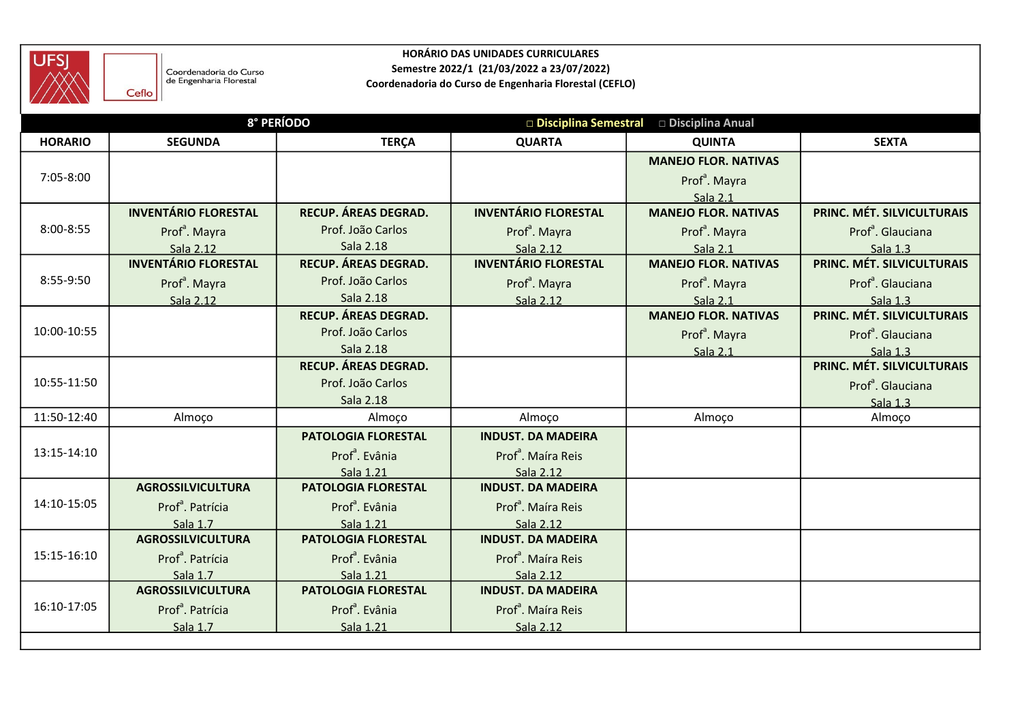

| <b>UFSJ</b>    |                                                            |                                         | HORÁRIO DAS UNIDADES CURRICULARES<br>Semestre 2022/1 (21/03/2022 a 23/07/2022) |                                           |                                        |
|----------------|------------------------------------------------------------|-----------------------------------------|--------------------------------------------------------------------------------|-------------------------------------------|----------------------------------------|
|                | Coordenadoria do Curso<br>de Engenharia Florestal<br>Ceflo |                                         | Coordenadoria do Curso de Engenharia Florestal (CEFLO)                         |                                           |                                        |
|                |                                                            | 8° PERÍODO                              |                                                                                | □ Disciplina Semestral □ Disciplina Anual |                                        |
| <b>HORARIO</b> | <b>SEGUNDA</b>                                             | <b>TERÇA</b>                            | <b>QUARTA</b>                                                                  | <b>QUINTA</b>                             | <b>SEXTA</b>                           |
|                |                                                            |                                         |                                                                                | <b>MANEJO FLOR. NATIVAS</b>               |                                        |
| 7:05-8:00      |                                                            |                                         |                                                                                | Prof <sup>a</sup> . Mayra                 |                                        |
|                | <b>INVENTÁRIO FLORESTAL</b>                                | RECUP. ÁREAS DEGRAD.                    | <b>INVENTÁRIO FLORESTAL</b>                                                    | Sala 2.1<br><b>MANEJO FLOR. NATIVAS</b>   | PRINC. MÉT. SILVICULTURAIS             |
| 8:00-8:55      | Prof <sup>ª</sup> . Mayra                                  | Prof. João Carlos                       | Prof <sup>a</sup> . Mayra                                                      | Prof <sup>a</sup> . Mayra                 | Prof <sup>ª</sup> . Glauciana          |
|                | Sala 2.12                                                  | Sala 2.18                               | Sala 2.12                                                                      | Sala 2.1                                  | Sala 1.3                               |
|                | <b>INVENTÁRIO FLORESTAL</b>                                | RECUP. ÁREAS DEGRAD.                    | <b>INVENTÁRIO FLORESTAL</b>                                                    | <b>MANEJO FLOR. NATIVAS</b>               | PRINC. MÉT. SILVICULTURAIS             |
| 8:55-9:50      | Prof <sup>a</sup> . Mayra                                  | Prof. João Carlos                       | Prof <sup>a</sup> . Mayra                                                      | Prof <sup>a</sup> . Mayra                 | Prof <sup>ª</sup> . Glauciana          |
|                | Sala 2.12                                                  | Sala 2.18<br>RECUP. ÁREAS DEGRAD.       | Sala 2.12                                                                      | Sala 2.1<br><b>MANEJO FLOR. NATIVAS</b>   | Sala 1.3<br>PRINC. MÉT. SILVICULTURAIS |
| 10:00-10:55    |                                                            | Prof. João Carlos                       |                                                                                | Prof <sup>a</sup> . Mayra                 | Prof <sup>ª</sup> . Glauciana          |
|                |                                                            | Sala 2.18                               |                                                                                | Sala 2.1                                  | Sala 1.3                               |
|                |                                                            | RECUP. ÁREAS DEGRAD.                    |                                                                                |                                           | PRINC. MÉT. SILVICULTURAIS             |
| 10:55-11:50    |                                                            | Prof. João Carlos                       |                                                                                |                                           | Prof <sup>ª</sup> . Glauciana          |
|                |                                                            | Sala 2.18                               |                                                                                |                                           | Sala 1.3                               |
| 11:50-12:40    | Almoço                                                     | Almoço<br>PATOLOGIA FLORESTAL           | Almoço<br><b>INDUST. DA MADEIRA</b>                                            | Almoço                                    | Almoço                                 |
| 13:15-14:10    |                                                            | Prof <sup>ª</sup> . Evânia              | Prof <sup>ª</sup> . Maíra Reis                                                 |                                           |                                        |
|                |                                                            | Sala 1.21                               | Sala 2.12                                                                      |                                           |                                        |
|                | <b>AGROSSILVICULTURA</b>                                   | PATOLOGIA FLORESTAL                     | <b>INDUST. DA MADEIRA</b>                                                      |                                           |                                        |
| 14:10-15:05    | Prof <sup>ª</sup> . Patrícia                               | Prof <sup>ª</sup> . Evânia              | Prof <sup>ª</sup> . Maíra Reis                                                 |                                           |                                        |
|                | Sala 1.7                                                   | Sala 1.21                               | Sala 2.12                                                                      |                                           |                                        |
| 15:15-16:10    | <b>AGROSSILVICULTURA</b>                                   | PATOLOGIA FLORESTAL                     | <b>INDUST. DA MADEIRA</b>                                                      |                                           |                                        |
|                | Prof <sup>ª</sup> . Patrícia<br>Sala 1.7                   | Prof <sup>ª</sup> . Evânia<br>Sala 1.21 | Prof <sup>ª</sup> . Maíra Reis<br>Sala 2.12                                    |                                           |                                        |
|                | <b>AGROSSILVICULTURA</b>                                   | PATOLOGIA FLORESTAL                     | <b>INDUST. DA MADEIRA</b>                                                      |                                           |                                        |
| 16:10-17:05    | Prof <sup>ª</sup> . Patrícia                               | Prof <sup>ª</sup> . Evânia              | Prof <sup>ª</sup> . Maíra Reis                                                 |                                           |                                        |
|                | Sala 1.7                                                   | Sala 1.21                               | Sala 2.12                                                                      |                                           |                                        |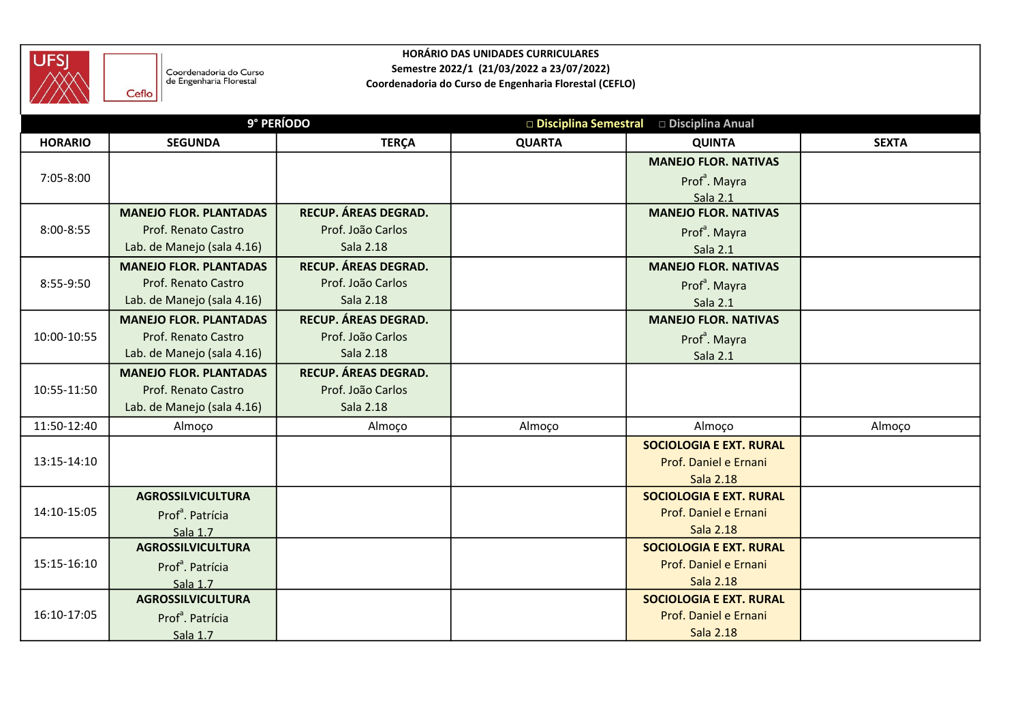

| <b>UFSJ</b>    |                                                            |                                | HORÁRIO DAS UNIDADES CURRICULARES                                                                   |                                                         |              |
|----------------|------------------------------------------------------------|--------------------------------|-----------------------------------------------------------------------------------------------------|---------------------------------------------------------|--------------|
|                | Coordenadoria do Curso<br>de Engenharia Florestal<br>Ceflo |                                | Semestre 2022/1 (21/03/2022 a 23/07/2022)<br>Coordenadoria do Curso de Engenharia Florestal (CEFLO) |                                                         |              |
|                | 9° PERÍODO                                                 |                                |                                                                                                     | □ Disciplina Semestral □ Disciplina Anual               |              |
| <b>HORARIO</b> | <b>SEGUNDA</b>                                             | <b>TERÇA</b>                   | <b>QUARTA</b>                                                                                       | <b>QUINTA</b>                                           | <b>SEXTA</b> |
|                |                                                            |                                |                                                                                                     | <b>MANEJO FLOR. NATIVAS</b>                             |              |
| 7:05-8:00      |                                                            |                                |                                                                                                     | Prof <sup>ª</sup> . Mayra                               |              |
|                |                                                            |                                |                                                                                                     | Sala 2.1                                                |              |
|                | <b>MANEJO FLOR. PLANTADAS</b>                              | RECUP. ÁREAS DEGRAD.           |                                                                                                     | <b>MANEJO FLOR. NATIVAS</b>                             |              |
| 8:00-8:55      | Prof. Renato Castro<br>Lab. de Manejo (sala 4.16)          | Prof. João Carlos<br>Sala 2.18 |                                                                                                     | Prof <sup>ª</sup> . Mayra                               |              |
|                | <b>MANEJO FLOR. PLANTADAS</b>                              | RECUP. ÁREAS DEGRAD.           |                                                                                                     | Sala 2.1<br><b>MANEJO FLOR. NATIVAS</b>                 |              |
| 8:55-9:50      | Prof. Renato Castro                                        | Prof. João Carlos              |                                                                                                     | Prof <sup>ª</sup> . Mayra                               |              |
|                | Lab. de Manejo (sala 4.16)                                 | Sala 2.18                      |                                                                                                     | Sala 2.1                                                |              |
|                | <b>MANEJO FLOR. PLANTADAS</b>                              | RECUP. ÁREAS DEGRAD.           |                                                                                                     | <b>MANEJO FLOR. NATIVAS</b>                             |              |
| 10:00-10:55    | Prof. Renato Castro                                        | Prof. João Carlos              |                                                                                                     | Prof <sup>ª</sup> . Mayra                               |              |
|                | Lab. de Manejo (sala 4.16)                                 | Sala 2.18                      |                                                                                                     | Sala 2.1                                                |              |
|                | <b>MANEJO FLOR. PLANTADAS</b>                              | RECUP. ÁREAS DEGRAD.           |                                                                                                     |                                                         |              |
| 10:55-11:50    | Prof. Renato Castro                                        | Prof. João Carlos              |                                                                                                     |                                                         |              |
|                | Lab. de Manejo (sala 4.16)                                 | Sala 2.18                      |                                                                                                     |                                                         |              |
| 11:50-12:40    | Almoço                                                     | Almoço                         | Almoço                                                                                              | Almoço                                                  | Almoço       |
|                |                                                            |                                |                                                                                                     | <b>SOCIOLOGIA E EXT. RURAL</b>                          |              |
| 13:15-14:10    |                                                            |                                |                                                                                                     | Prof. Daniel e Ernani                                   |              |
|                |                                                            |                                |                                                                                                     | <b>Sala 2.18</b>                                        |              |
| 14:10-15:05    | <b>AGROSSILVICULTURA</b>                                   |                                |                                                                                                     | <b>SOCIOLOGIA E EXT. RURAL</b><br>Prof. Daniel e Ernani |              |
|                | Prof <sup>ª</sup> . Patrícia<br>Sala 1.7                   |                                |                                                                                                     | Sala 2.18                                               |              |
|                | <b>AGROSSILVICULTURA</b>                                   |                                |                                                                                                     | <b>SOCIOLOGIA E EXT. RURAL</b>                          |              |
| 15:15-16:10    | Prof <sup>ª</sup> . Patrícia                               |                                |                                                                                                     | Prof. Daniel e Ernani                                   |              |
|                | Sala 1.7                                                   |                                |                                                                                                     | <b>Sala 2.18</b>                                        |              |
|                | <b>AGROSSILVICULTURA</b>                                   |                                |                                                                                                     | <b>SOCIOLOGIA E EXT. RURAL</b>                          |              |
| 16:10-17:05    | Prof <sup>ª</sup> . Patrícia                               |                                |                                                                                                     | Prof. Daniel e Ernani                                   |              |
|                | Sala 1.7                                                   |                                |                                                                                                     | Sala 2.18                                               |              |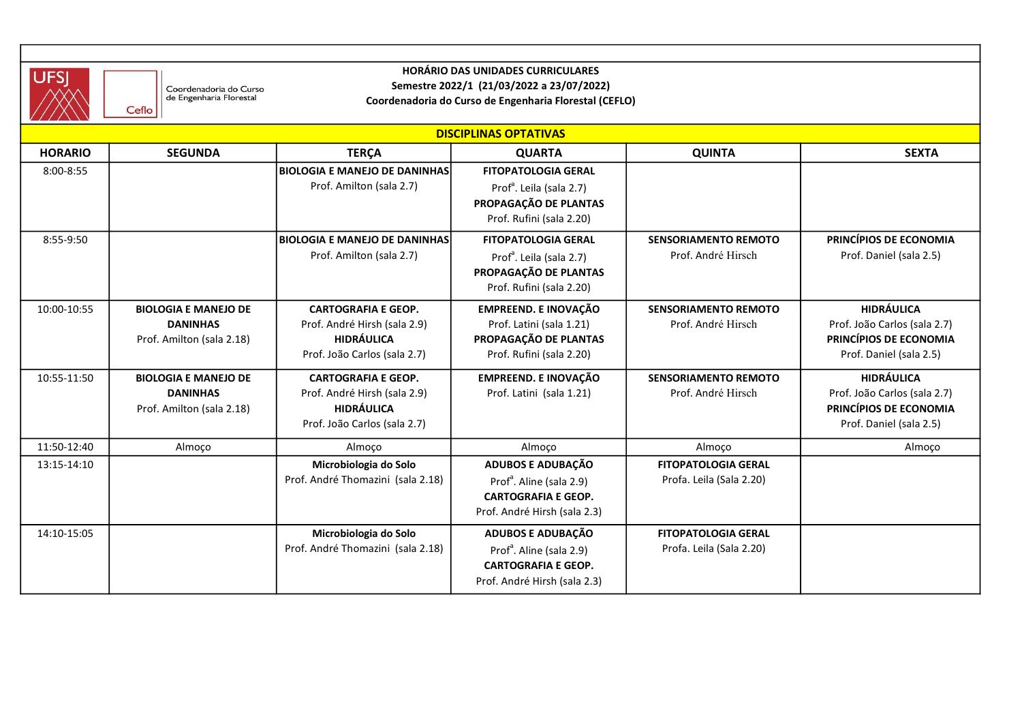

## HORÁRIO DAS UNIDADES CURRICULARES Semestre 2022/1 (21/03/2022 a 23/07/2022)

| <b>UFSJ</b>    |                                                                             |                                                                                                                 | <b>HORÁRIO DAS UNIDADES CURRICULARES</b>                                                                                |                                                        |                                                                                                        |
|----------------|-----------------------------------------------------------------------------|-----------------------------------------------------------------------------------------------------------------|-------------------------------------------------------------------------------------------------------------------------|--------------------------------------------------------|--------------------------------------------------------------------------------------------------------|
|                | Coordenadoria do Curso<br>de Engenharia Florestal<br>Ceflo                  |                                                                                                                 | Semestre 2022/1 (21/03/2022 a 23/07/2022)<br>Coordenadoria do Curso de Engenharia Florestal (CEFLO)                     |                                                        |                                                                                                        |
|                |                                                                             |                                                                                                                 | <b>DISCIPLINAS OPTATIVAS</b>                                                                                            |                                                        |                                                                                                        |
| <b>HORARIO</b> | <b>SEGUNDA</b>                                                              | <b>TERÇA</b>                                                                                                    | <b>QUARTA</b>                                                                                                           | <b>QUINTA</b>                                          | <b>SEXTA</b>                                                                                           |
| 8:00-8:55      |                                                                             | <b>BIOLOGIA E MANEJO DE DANINHAS</b><br>Prof. Amilton (sala 2.7)                                                | <b>FITOPATOLOGIA GERAL</b><br>Prof <sup>a</sup> . Leila (sala 2.7)<br>PROPAGAÇÃO DE PLANTAS<br>Prof. Rufini (sala 2.20) |                                                        |                                                                                                        |
| 8:55-9:50      |                                                                             | <b>BIOLOGIA E MANEJO DE DANINHAS</b><br>Prof. Amilton (sala 2.7)                                                | <b>FITOPATOLOGIA GERAL</b><br>Prof <sup>a</sup> . Leila (sala 2.7)<br>PROPAGAÇÃO DE PLANTAS<br>Prof. Rufini (sala 2.20) | <b>SENSORIAMENTO REMOTO</b><br>Prof. André Hirsch      | PRINCÍPIOS DE ECONOMIA<br>Prof. Daniel (sala 2.5)                                                      |
| 10:00-10:55    | <b>BIOLOGIA E MANEJO DE</b><br><b>DANINHAS</b><br>Prof. Amilton (sala 2.18) | <b>CARTOGRAFIA E GEOP.</b><br>Prof. André Hirsh (sala 2.9)<br><b>HIDRÁULICA</b><br>Prof. João Carlos (sala 2.7) | <b>EMPREEND. E INOVAÇÃO</b><br>Prof. Latini (sala 1.21)<br>PROPAGAÇÃO DE PLANTAS<br>Prof. Rufini (sala 2.20)            | <b>SENSORIAMENTO REMOTO</b><br>Prof. André Hirsch      | <b>HIDRÁULICA</b><br>Prof. João Carlos (sala 2.7)<br>PRINCÍPIOS DE ECONOMIA<br>Prof. Daniel (sala 2.5) |
| 10:55-11:50    | <b>BIOLOGIA E MANEJO DE</b><br><b>DANINHAS</b><br>Prof. Amilton (sala 2.18) | <b>CARTOGRAFIA E GEOP.</b><br>Prof. André Hirsh (sala 2.9)<br>HIDRÁULICA<br>Prof. João Carlos (sala 2.7)        | <b>EMPREEND. E INOVAÇÃO</b><br>Prof. Latini (sala 1.21)                                                                 | <b>SENSORIAMENTO REMOTO</b><br>Prof. André Hirsch      | <b>HIDRÁULICA</b><br>Prof. João Carlos (sala 2.7)<br>PRINCÍPIOS DE ECONOMIA<br>Prof. Daniel (sala 2.5) |
| 11:50-12:40    | Almoço                                                                      | Almoço                                                                                                          | Almoço                                                                                                                  | Almoço                                                 | Almoço                                                                                                 |
| 13:15-14:10    |                                                                             | Microbiologia do Solo<br>Prof. André Thomazini (sala 2.18)                                                      | ADUBOS E ADUBAÇÃO<br>Prof <sup>a</sup> . Aline (sala 2.9)<br><b>CARTOGRAFIA E GEOP.</b><br>Prof. André Hirsh (sala 2.3) | <b>FITOPATOLOGIA GERAL</b><br>Profa. Leila (Sala 2.20) |                                                                                                        |
| 14:10-15:05    |                                                                             | Microbiologia do Solo<br>Prof. André Thomazini (sala 2.18)                                                      | ADUBOS E ADUBAÇÃO<br>Prof <sup>a</sup> . Aline (sala 2.9)<br><b>CARTOGRAFIA E GEOP.</b><br>Prof. André Hirsh (sala 2.3) | <b>FITOPATOLOGIA GERAL</b><br>Profa. Leila (Sala 2.20) |                                                                                                        |